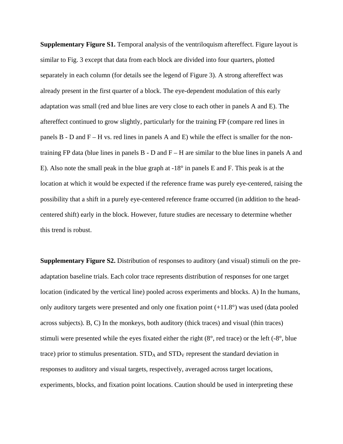**Supplementary Figure S1.** Temporal analysis of the ventriloquism aftereffect. Figure layout is similar to Fig. 3 except that data from each block are divided into four quarters, plotted separately in each column (for details see the legend of Figure 3). A strong aftereffect was already present in the first quarter of a block. The eye-dependent modulation of this early adaptation was small (red and blue lines are very close to each other in panels A and E). The aftereffect continued to grow slightly, particularly for the training FP (compare red lines in panels  $B - D$  and  $F - H$  vs. red lines in panels A and E) while the effect is smaller for the nontraining FP data (blue lines in panels  $B - D$  and  $F - H$  are similar to the blue lines in panels A and E). Also note the small peak in the blue graph at -18° in panels E and F. This peak is at the location at which it would be expected if the reference frame was purely eye-centered, raising the possibility that a shift in a purely eye-centered reference frame occurred (in addition to the headcentered shift) early in the block. However, future studies are necessary to determine whether this trend is robust.

**Supplementary Figure S2.** Distribution of responses to auditory (and visual) stimuli on the preadaptation baseline trials. Each color trace represents distribution of responses for one target location (indicated by the vertical line) pooled across experiments and blocks. A) In the humans, only auditory targets were presented and only one fixation point (+11.8°) was used (data pooled across subjects). B, C) In the monkeys, both auditory (thick traces) and visual (thin traces) stimuli were presented while the eyes fixated either the right (8°, red trace) or the left (-8°, blue trace) prior to stimulus presentation.  $STD<sub>A</sub>$  and  $STD<sub>V</sub>$  represent the standard deviation in responses to auditory and visual targets, respectively, averaged across target locations, experiments, blocks, and fixation point locations. Caution should be used in interpreting these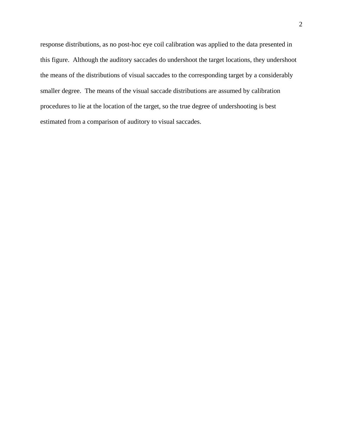response distributions, as no post-hoc eye coil calibration was applied to the data presented in this figure. Although the auditory saccades do undershoot the target locations, they undershoot the means of the distributions of visual saccades to the corresponding target by a considerably smaller degree. The means of the visual saccade distributions are assumed by calibration procedures to lie at the location of the target, so the true degree of undershooting is best estimated from a comparison of auditory to visual saccades.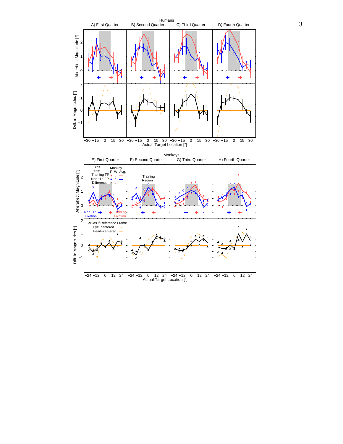